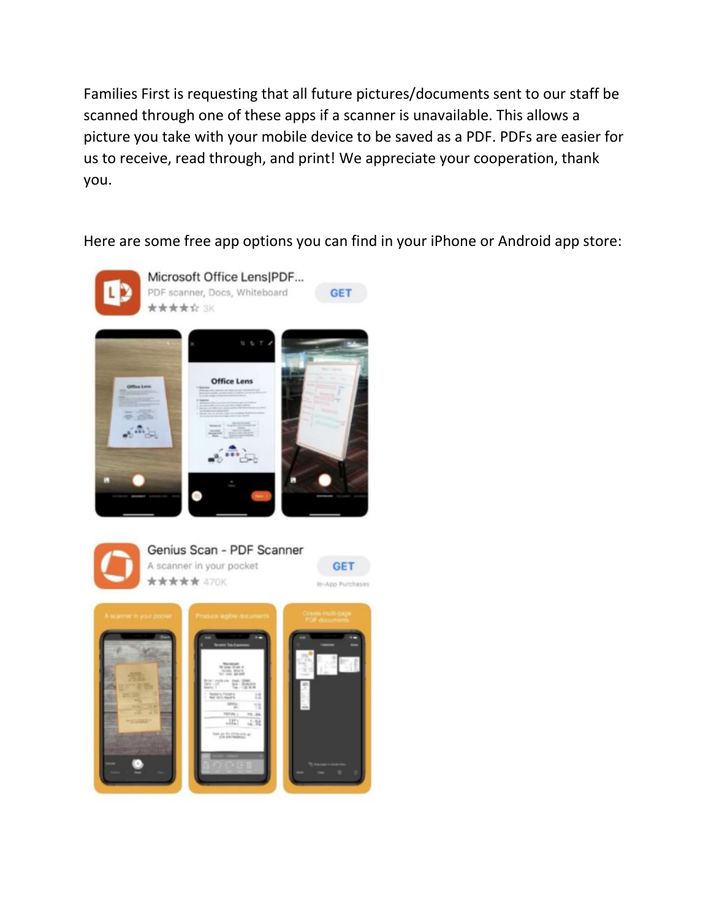Families First is requesting that all future pictures/documents sent to our staff be scanned through one of these apps if a scanner is unavailable. This allows a picture you take with your mobile device to be saved as a PDF. PDFs are easier for us to receive, read through, and print! We appreciate your cooperation, thank you.

Here are some free app options you can find in your iPhone or Android app store: